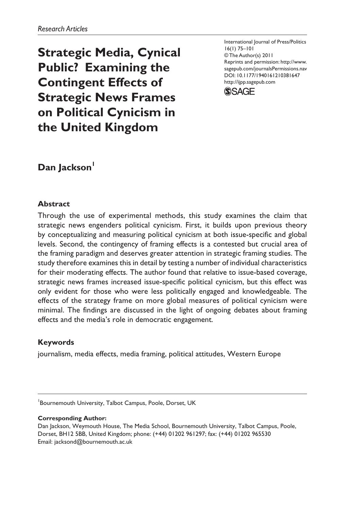**Strategic Media, Cynical Public? Examining the Contingent Effects of Strategic News Frames on Political Cynicism in the United Kingdom**

International Journal of Press/Politics 16(1) 75–101 © The Author(s) 2011 Reprints and permission: http://www. sagepub.com/journalsPermissions.nav DOI: 10.1177/1940161210381647 http://ijpp.sagepub.com



# **Dan Jackson**

# **Abstract**

Through the use of experimental methods, this study examines the claim that strategic news engenders political cynicism. First, it builds upon previous theory by conceptualizing and measuring political cynicism at both issue-specific and global levels. Second, the contingency of framing effects is a contested but crucial area of the framing paradigm and deserves greater attention in strategic framing studies. The study therefore examines this in detail by testing a number of individual characteristics for their moderating effects. The author found that relative to issue-based coverage, strategic news frames increased issue-specific political cynicism, but this effect was only evident for those who were less politically engaged and knowledgeable. The effects of the strategy frame on more global measures of political cynicism were minimal. The findings are discussed in the light of ongoing debates about framing effects and the media's role in democratic engagement.

# **Keywords**

journalism, media effects, media framing, political attitudes, Western Europe

1 Bournemouth University, Talbot Campus, Poole, Dorset, UK

### **Corresponding Author:**

Dan Jackson, Weymouth House, The Media School, Bournemouth University, Talbot Campus, Poole, Dorset, BH12 5BB, United Kingdom; phone: (+44) 01202 961297; fax: (+44) 01202 965530 Email: jacksond@bournemouth.ac.uk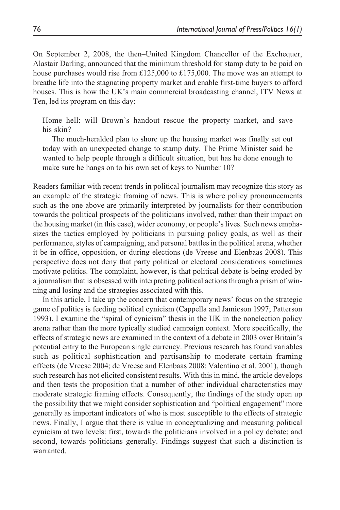On September 2, 2008, the then–United Kingdom Chancellor of the Exchequer, Alastair Darling, announced that the minimum threshold for stamp duty to be paid on house purchases would rise from £125,000 to £175,000. The move was an attempt to breathe life into the stagnating property market and enable first-time buyers to afford houses. This is how the UK's main commercial broadcasting channel, ITV News at Ten, led its program on this day:

Home hell: will Brown's handout rescue the property market, and save his skin?

The much-heralded plan to shore up the housing market was finally set out today with an unexpected change to stamp duty. The Prime Minister said he wanted to help people through a difficult situation, but has he done enough to make sure he hangs on to his own set of keys to Number 10?

Readers familiar with recent trends in political journalism may recognize this story as an example of the strategic framing of news. This is where policy pronouncements such as the one above are primarily interpreted by journalists for their contribution towards the political prospects of the politicians involved, rather than their impact on the housing market (in this case), wider economy, or people's lives. Such news emphasizes the tactics employed by politicians in pursuing policy goals, as well as their performance, styles of campaigning, and personal battles in the political arena, whether it be in office, opposition, or during elections (de Vreese and Elenbaas 2008). This perspective does not deny that party political or electoral considerations sometimes motivate politics. The complaint, however, is that political debate is being eroded by a journalism that is obsessed with interpreting political actions through a prism of winning and losing and the strategies associated with this.

In this article, I take up the concern that contemporary news' focus on the strategic game of politics is feeding political cynicism (Cappella and Jamieson 1997; Patterson 1993). I examine the "spiral of cynicism" thesis in the UK in the nonelection policy arena rather than the more typically studied campaign context. More specifically, the effects of strategic news are examined in the context of a debate in 2003 over Britain's potential entry to the European single currency. Previous research has found variables such as political sophistication and partisanship to moderate certain framing effects (de Vreese 2004; de Vreese and Elenbaas 2008; Valentino et al. 2001), though such research has not elicited consistent results. With this in mind, the article develops and then tests the proposition that a number of other individual characteristics may moderate strategic framing effects. Consequently, the findings of the study open up the possibility that we might consider sophistication and "political engagement" more generally as important indicators of who is most susceptible to the effects of strategic news. Finally, I argue that there is value in conceptualizing and measuring political cynicism at two levels: first, towards the politicians involved in a policy debate; and second, towards politicians generally. Findings suggest that such a distinction is warranted.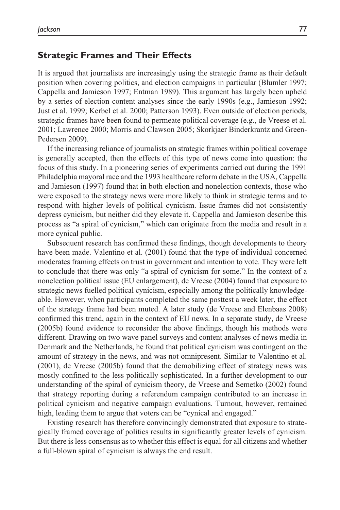## **Strategic Frames and Their Effects**

It is argued that journalists are increasingly using the strategic frame as their default position when covering politics, and election campaigns in particular (Blumler 1997; Cappella and Jamieson 1997; Entman 1989). This argument has largely been upheld by a series of election content analyses since the early 1990s (e.g., Jamieson 1992; Just et al. 1999; Kerbel et al. 2000; Patterson 1993). Even outside of election periods, strategic frames have been found to permeate political coverage (e.g., de Vreese et al. 2001; Lawrence 2000; Morris and Clawson 2005; Skorkjaer Binderkrantz and Green-Pedersen 2009).

If the increasing reliance of journalists on strategic frames within political coverage is generally accepted, then the effects of this type of news come into question: the focus of this study. In a pioneering series of experiments carried out during the 1991 Philadelphia mayoral race and the 1993 healthcare reform debate in the USA, Cappella and Jamieson (1997) found that in both election and nonelection contexts, those who were exposed to the strategy news were more likely to think in strategic terms and to respond with higher levels of political cynicism. Issue frames did not consistently depress cynicism, but neither did they elevate it. Cappella and Jamieson describe this process as "a spiral of cynicism," which can originate from the media and result in a more cynical public.

Subsequent research has confirmed these findings, though developments to theory have been made. Valentino et al. (2001) found that the type of individual concerned moderates framing effects on trust in government and intention to vote. They were left to conclude that there was only "a spiral of cynicism for some." In the context of a nonelection political issue (EU enlargement), de Vreese (2004) found that exposure to strategic news fuelled political cynicism, especially among the politically knowledgeable. However, when participants completed the same posttest a week later, the effect of the strategy frame had been muted. A later study (de Vreese and Elenbaas 2008) confirmed this trend, again in the context of EU news. In a separate study, de Vreese (2005b) found evidence to reconsider the above findings, though his methods were different. Drawing on two wave panel surveys and content analyses of news media in Denmark and the Netherlands, he found that political cynicism was contingent on the amount of strategy in the news, and was not omnipresent. Similar to Valentino et al. (2001), de Vreese (2005b) found that the demobilizing effect of strategy news was mostly confined to the less politically sophisticated. In a further development to our understanding of the spiral of cynicism theory, de Vreese and Semetko (2002) found that strategy reporting during a referendum campaign contributed to an increase in political cynicism and negative campaign evaluations. Turnout, however, remained high, leading them to argue that voters can be "cynical and engaged."

Existing research has therefore convincingly demonstrated that exposure to strategically framed coverage of politics results in significantly greater levels of cynicism. But there is less consensus as to whether this effect is equal for all citizens and whether a full-blown spiral of cynicism is always the end result.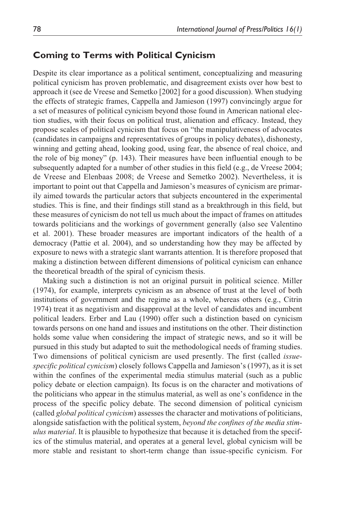# **Coming to Terms with Political Cynicism**

Despite its clear importance as a political sentiment, conceptualizing and measuring political cynicism has proven problematic, and disagreement exists over how best to approach it (see de Vreese and Semetko [2002] for a good discussion). When studying the effects of strategic frames, Cappella and Jamieson (1997) convincingly argue for a set of measures of political cynicism beyond those found in American national election studies, with their focus on political trust, alienation and efficacy. Instead, they propose scales of political cynicism that focus on "the manipulativeness of advocates (candidates in campaigns and representatives of groups in policy debates), dishonesty, winning and getting ahead, looking good, using fear, the absence of real choice, and the role of big money" (p. 143). Their measures have been influential enough to be subsequently adapted for a number of other studies in this field (e.g., de Vreese 2004; de Vreese and Elenbaas 2008; de Vreese and Semetko 2002). Nevertheless, it is important to point out that Cappella and Jamieson's measures of cynicism are primarily aimed towards the particular actors that subjects encountered in the experimental studies. This is fine, and their findings still stand as a breakthrough in this field, but these measures of cynicism do not tell us much about the impact of frames on attitudes towards politicians and the workings of government generally (also see Valentino et al. 2001). These broader measures are important indicators of the health of a democracy (Pattie et al. 2004), and so understanding how they may be affected by exposure to news with a strategic slant warrants attention. It is therefore proposed that making a distinction between different dimensions of political cynicism can enhance the theoretical breadth of the spiral of cynicism thesis.

Making such a distinction is not an original pursuit in political science. Miller (1974), for example, interprets cynicism as an absence of trust at the level of both institutions of government and the regime as a whole, whereas others (e.g., Citrin 1974) treat it as negativism and disapproval at the level of candidates and incumbent political leaders. Erber and Lau (1990) offer such a distinction based on cynicism towards persons on one hand and issues and institutions on the other. Their distinction holds some value when considering the impact of strategic news, and so it will be pursued in this study but adapted to suit the methodological needs of framing studies. Two dimensions of political cynicism are used presently. The first (called *issuespecific political cynicism*) closely follows Cappella and Jamieson's (1997), as it is set within the confines of the experimental media stimulus material (such as a public policy debate or election campaign). Its focus is on the character and motivations of the politicians who appear in the stimulus material, as well as one's confidence in the process of the specific policy debate. The second dimension of political cynicism (called *global political cynicism*) assesses the character and motivations of politicians, alongside satisfaction with the political system, *beyond the confines of the media stimulus material*. It is plausible to hypothesize that because it is detached from the specifics of the stimulus material, and operates at a general level, global cynicism will be more stable and resistant to short-term change than issue-specific cynicism. For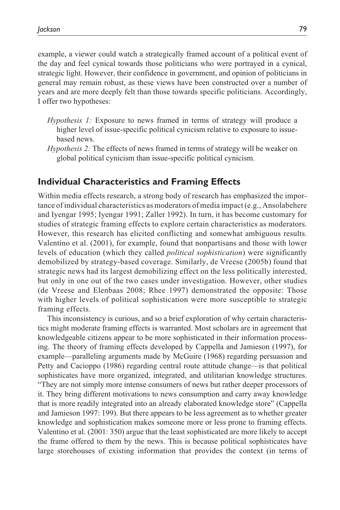example, a viewer could watch a strategically framed account of a political event of the day and feel cynical towards those politicians who were portrayed in a cynical, strategic light. However, their confidence in government, and opinion of politicians in general may remain robust, as these views have been constructed over a number of years and are more deeply felt than those towards specific politicians. Accordingly, I offer two hypotheses:

- *Hypothesis 1:* Exposure to news framed in terms of strategy will produce a higher level of issue-specific political cynicism relative to exposure to issuebased news.
- *Hypothesis 2:* The effects of news framed in terms of strategy will be weaker on global political cynicism than issue-specific political cynicism.

# **Individual Characteristics and Framing Effects**

Within media effects research, a strong body of research has emphasized the importance of individual characteristics as moderators of media impact (e.g., Ansolabehere and Iyengar 1995; Iyengar 1991; Zaller 1992). In turn, it has become customary for studies of strategic framing effects to explore certain characteristics as moderators. However, this research has elicited conflicting and somewhat ambiguous results. Valentino et al. (2001), for example, found that nonpartisans and those with lower levels of education (which they called *political sophistication*) were significantly demobilized by strategy-based coverage. Similarly, de Vreese (2005b) found that strategic news had its largest demobilizing effect on the less politically interested, but only in one out of the two cases under investigation. However, other studies (de Vreese and Elenbaas 2008; Rhee 1997) demonstrated the opposite: Those with higher levels of political sophistication were more susceptible to strategic framing effects.

This inconsistency is curious, and so a brief exploration of why certain characteristics might moderate framing effects is warranted. Most scholars are in agreement that knowledgeable citizens appear to be more sophisticated in their information processing. The theory of framing effects developed by Cappella and Jamieson (1997), for example—paralleling arguments made by McGuire (1968) regarding persuasion and Petty and Cacioppo (1986) regarding central route attitude change—is that political sophisticates have more organized, integrated, and utilitarian knowledge structures. "They are not simply more intense consumers of news but rather deeper processors of it. They bring different motivations to news consumption and carry away knowledge that is more readily integrated into an already elaborated knowledge store" (Cappella and Jamieson 1997: 199). But there appears to be less agreement as to whether greater knowledge and sophistication makes someone more or less prone to framing effects. Valentino et al. (2001: 350) argue that the least sophisticated are more likely to accept the frame offered to them by the news. This is because political sophisticates have large storehouses of existing information that provides the context (in terms of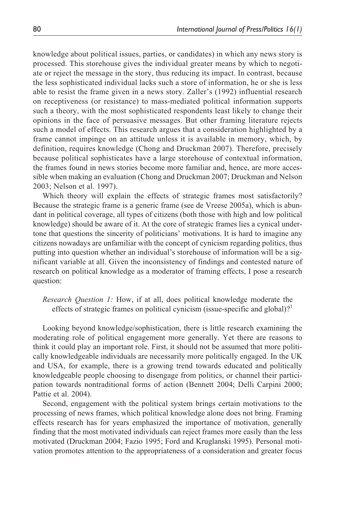knowledge about political issues, parties, or candidates) in which any news story is processed. This storehouse gives the individual greater means by which to negotiate or reject the message in the story, thus reducing its impact. In contrast, because the less sophisticated individual lacks such a store of information, he or she is less able to resist the frame given in a news story. Zaller's (1992) influential research on receptiveness (or resistance) to mass-mediated political information supports such a theory, with the most sophisticated respondents least likely to change their opinions in the face of persuasive messages. But other framing literature rejects such a model of effects. This research argues that a consideration highlighted by a frame cannot impinge on an attitude unless it is available in memory, which, by definition, requires knowledge (Chong and Druckman 2007). Therefore, precisely because political sophisticates have a large storehouse of contextual information, the frames found in news stories become more familiar and, hence, are more accessible when making an evaluation (Chong and Druckman 2007; Druckman and Nelson 2003; Nelson et al. 1997).

Which theory will explain the effects of strategic frames most satisfactorily? Because the strategic frame is a generic frame (see de Vreese 2005a), which is abundant in political coverage, all types of citizens (both those with high and low political knowledge) should be aware of it. At the core of strategic frames lies a cynical undertone that questions the sincerity of politicians' motivations. It is hard to imagine any citizens nowadays are unfamiliar with the concept of cynicism regarding politics, thus putting into question whether an individual's storehouse of information will be a significant variable at all. Given the inconsistency of findings and contested nature of research on political knowledge as a moderator of framing effects, I pose a research question:

*Research Question 1:* How, if at all, does political knowledge moderate the effects of strategic frames on political cynicism (issue-specific and global)?<sup>1</sup>

Looking beyond knowledge/sophistication, there is little research examining the moderating role of political engagement more generally. Yet there are reasons to think it could play an important role. First, it should not be assumed that more politically knowledgeable individuals are necessarily more politically engaged. In the UK and USA, for example, there is a growing trend towards educated and politically knowledgeable people choosing to disengage from politics, or channel their participation towards nontraditional forms of action (Bennett 2004; Delli Carpini 2000; Pattie et al. 2004).

Second, engagement with the political system brings certain motivations to the processing of news frames, which political knowledge alone does not bring. Framing effects research has for years emphasized the importance of motivation, generally finding that the most motivated individuals can reject frames more easily than the less motivated (Druckman 2004; Fazio 1995; Ford and Kruglanski 1995). Personal motivation promotes attention to the appropriateness of a consideration and greater focus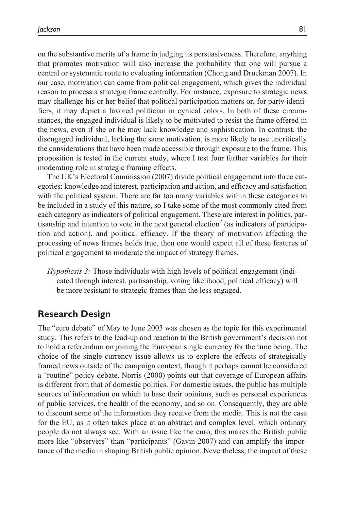on the substantive merits of a frame in judging its persuasiveness. Therefore, anything that promotes motivation will also increase the probability that one will pursue a central or systematic route to evaluating information (Chong and Druckman 2007). In our case, motivation can come from political engagement, which gives the individual reason to process a strategic frame centrally. For instance, exposure to strategic news may challenge his or her belief that political participation matters or, for party identifiers, it may depict a favored politician in cynical colors. In both of these circumstances, the engaged individual is likely to be motivated to resist the frame offered in the news, even if she or he may lack knowledge and sophistication. In contrast, the disengaged individual, lacking the same motivation, is more likely to use uncritically the considerations that have been made accessible through exposure to the frame. This proposition is tested in the current study, where I test four further variables for their moderating role in strategic framing effects.

The UK's Electoral Commission (2007) divide political engagement into three categories: knowledge and interest, participation and action, and efficacy and satisfaction with the political system. There are far too many variables within these categories to be included in a study of this nature, so I take some of the most commonly cited from each category as indicators of political engagement. These are interest in politics, partisanship and intention to vote in the next general election<sup>2</sup> (as indicators of participation and action), and political efficacy. If the theory of motivation affecting the processing of news frames holds true, then one would expect all of these features of political engagement to moderate the impact of strategy frames.

*Hypothesis 3:* Those individuals with high levels of political engagement (indicated through interest, partisanship, voting likelihood, political efficacy) will be more resistant to strategic frames than the less engaged.

# **Research Design**

The "euro debate" of May to June 2003 was chosen as the topic for this experimental study. This refers to the lead-up and reaction to the British government's decision not to hold a referendum on joining the European single currency for the time being. The choice of the single currency issue allows us to explore the effects of strategically framed news outside of the campaign context, though it perhaps cannot be considered a "routine" policy debate. Norris (2000) points out that coverage of European affairs is different from that of domestic politics. For domestic issues, the public has multiple sources of information on which to base their opinions, such as personal experiences of public services, the health of the economy, and so on. Consequently, they are able to discount some of the information they receive from the media. This is not the case for the EU, as it often takes place at an abstract and complex level, which ordinary people do not always see. With an issue like the euro, this makes the British public more like "observers" than "participants" (Gavin 2007) and can amplify the importance of the media in shaping British public opinion. Nevertheless, the impact of these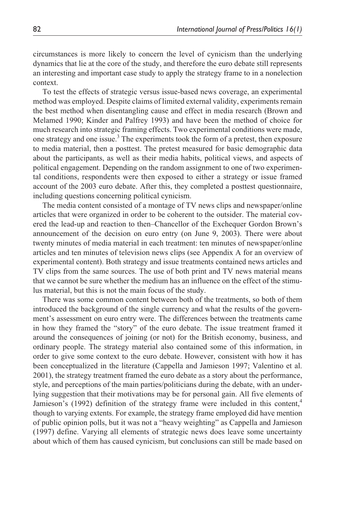circumstances is more likely to concern the level of cynicism than the underlying dynamics that lie at the core of the study, and therefore the euro debate still represents an interesting and important case study to apply the strategy frame to in a nonelection context.

To test the effects of strategic versus issue-based news coverage, an experimental method was employed. Despite claims of limited external validity, experiments remain the best method when disentangling cause and effect in media research (Brown and Melamed 1990; Kinder and Palfrey 1993) and have been the method of choice for much research into strategic framing effects. Two experimental conditions were made, one strategy and one issue.<sup>3</sup> The experiments took the form of a pretest, then exposure to media material, then a posttest. The pretest measured for basic demographic data about the participants, as well as their media habits, political views, and aspects of political engagement. Depending on the random assignment to one of two experimental conditions, respondents were then exposed to either a strategy or issue framed account of the 2003 euro debate. After this, they completed a posttest questionnaire, including questions concerning political cynicism.

The media content consisted of a montage of TV news clips and newspaper/online articles that were organized in order to be coherent to the outsider. The material covered the lead-up and reaction to then–Chancellor of the Exchequer Gordon Brown's announcement of the decision on euro entry (on June 9, 2003). There were about twenty minutes of media material in each treatment: ten minutes of newspaper/online articles and ten minutes of television news clips (see Appendix A for an overview of experimental content). Both strategy and issue treatments contained news articles and TV clips from the same sources. The use of both print and TV news material means that we cannot be sure whether the medium has an influence on the effect of the stimulus material, but this is not the main focus of the study.

There was some common content between both of the treatments, so both of them introduced the background of the single currency and what the results of the government's assessment on euro entry were. The differences between the treatments came in how they framed the "story" of the euro debate. The issue treatment framed it around the consequences of joining (or not) for the British economy, business, and ordinary people. The strategy material also contained some of this information, in order to give some context to the euro debate. However, consistent with how it has been conceptualized in the literature (Cappella and Jamieson 1997; Valentino et al. 2001), the strategy treatment framed the euro debate as a story about the performance, style, and perceptions of the main parties/politicians during the debate, with an underlying suggestion that their motivations may be for personal gain. All five elements of Jamieson's (1992) definition of the strategy frame were included in this content,<sup>4</sup> though to varying extents. For example, the strategy frame employed did have mention of public opinion polls, but it was not a "heavy weighting" as Cappella and Jamieson (1997) define. Varying all elements of strategic news does leave some uncertainty about which of them has caused cynicism, but conclusions can still be made based on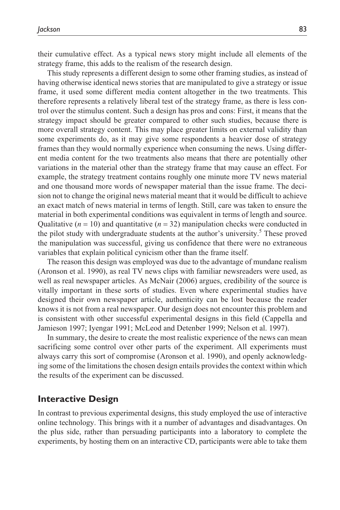their cumulative effect. As a typical news story might include all elements of the strategy frame, this adds to the realism of the research design.

This study represents a different design to some other framing studies, as instead of having otherwise identical news stories that are manipulated to give a strategy or issue frame, it used some different media content altogether in the two treatments. This therefore represents a relatively liberal test of the strategy frame, as there is less control over the stimulus content. Such a design has pros and cons: First, it means that the strategy impact should be greater compared to other such studies, because there is more overall strategy content. This may place greater limits on external validity than some experiments do, as it may give some respondents a heavier dose of strategy frames than they would normally experience when consuming the news. Using different media content for the two treatments also means that there are potentially other variations in the material other than the strategy frame that may cause an effect. For example, the strategy treatment contains roughly one minute more TV news material and one thousand more words of newspaper material than the issue frame. The decision not to change the original news material meant that it would be difficult to achieve an exact match of news material in terms of length. Still, care was taken to ensure the material in both experimental conditions was equivalent in terms of length and source. Qualitative  $(n = 10)$  and quantitative  $(n = 32)$  manipulation checks were conducted in the pilot study with undergraduate students at the author's university.<sup>5</sup> These proved the manipulation was successful, giving us confidence that there were no extraneous variables that explain political cynicism other than the frame itself.

The reason this design was employed was due to the advantage of mundane realism (Aronson et al. 1990), as real TV news clips with familiar newsreaders were used, as well as real newspaper articles. As McNair (2006) argues, credibility of the source is vitally important in these sorts of studies. Even where experimental studies have designed their own newspaper article, authenticity can be lost because the reader knows it is not from a real newspaper. Our design does not encounter this problem and is consistent with other successful experimental designs in this field (Cappella and Jamieson 1997; Iyengar 1991; McLeod and Detenber 1999; Nelson et al. 1997).

In summary, the desire to create the most realistic experience of the news can mean sacrificing some control over other parts of the experiment. All experiments must always carry this sort of compromise (Aronson et al. 1990), and openly acknowledging some of the limitations the chosen design entails provides the context within which the results of the experiment can be discussed.

# **Interactive Design**

In contrast to previous experimental designs, this study employed the use of interactive online technology. This brings with it a number of advantages and disadvantages. On the plus side, rather than persuading participants into a laboratory to complete the experiments, by hosting them on an interactive CD, participants were able to take them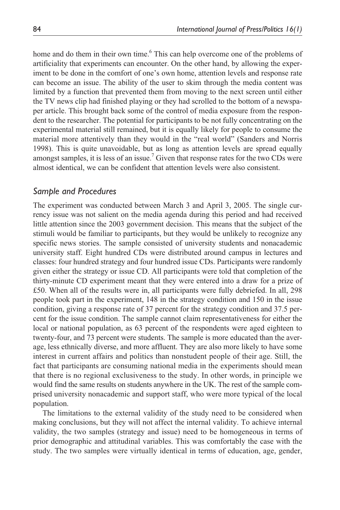home and do them in their own time.<sup>6</sup> This can help overcome one of the problems of artificiality that experiments can encounter. On the other hand, by allowing the experiment to be done in the comfort of one's own home, attention levels and response rate can become an issue. The ability of the user to skim through the media content was limited by a function that prevented them from moving to the next screen until either the TV news clip had finished playing or they had scrolled to the bottom of a newspaper article. This brought back some of the control of media exposure from the respondent to the researcher. The potential for participants to be not fully concentrating on the experimental material still remained, but it is equally likely for people to consume the material more attentively than they would in the "real world" (Sanders and Norris 1998). This is quite unavoidable, but as long as attention levels are spread equally amongst samples, it is less of an issue.<sup>7</sup> Given that response rates for the two CDs were almost identical, we can be confident that attention levels were also consistent.

# *Sample and Procedures*

The experiment was conducted between March 3 and April 3, 2005. The single currency issue was not salient on the media agenda during this period and had received little attention since the 2003 government decision. This means that the subject of the stimuli would be familiar to participants, but they would be unlikely to recognize any specific news stories. The sample consisted of university students and nonacademic university staff. Eight hundred CDs were distributed around campus in lectures and classes: four hundred strategy and four hundred issue CDs. Participants were randomly given either the strategy or issue CD. All participants were told that completion of the thirty-minute CD experiment meant that they were entered into a draw for a prize of £50. When all of the results were in, all participants were fully debriefed. In all, 298 people took part in the experiment, 148 in the strategy condition and 150 in the issue condition, giving a response rate of 37 percent for the strategy condition and 37.5 percent for the issue condition. The sample cannot claim representativeness for either the local or national population, as 63 percent of the respondents were aged eighteen to twenty-four, and 73 percent were students. The sample is more educated than the average, less ethnically diverse, and more affluent. They are also more likely to have some interest in current affairs and politics than nonstudent people of their age. Still, the fact that participants are consuming national media in the experiments should mean that there is no regional exclusiveness to the study. In other words, in principle we would find the same results on students anywhere in the UK. The rest of the sample comprised university nonacademic and support staff, who were more typical of the local population.

The limitations to the external validity of the study need to be considered when making conclusions, but they will not affect the internal validity. To achieve internal validity, the two samples (strategy and issue) need to be homogeneous in terms of prior demographic and attitudinal variables. This was comfortably the case with the study. The two samples were virtually identical in terms of education, age, gender,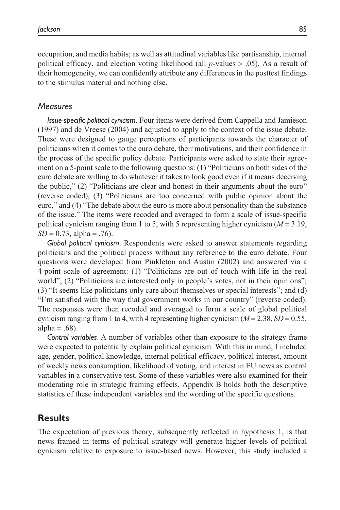occupation, and media habits; as well as attitudinal variables like partisanship, internal political efficacy, and election voting likelihood (all *p*-values > .05). As a result of their homogeneity, we can confidently attribute any differences in the posttest findings to the stimulus material and nothing else.

## *Measures*

*Issue-specific political cynicism*. Four items were derived from Cappella and Jamieson (1997) and de Vreese (2004) and adjusted to apply to the context of the issue debate. These were designed to gauge perceptions of participants towards the character of politicians when it comes to the euro debate, their motivations, and their confidence in the process of the specific policy debate. Participants were asked to state their agreement on a 5-point scale to the following questions: (1) "Politicians on both sides of the euro debate are willing to do whatever it takes to look good even if it means deceiving the public," (2) "Politicians are clear and honest in their arguments about the euro" (reverse coded), (3) "Politicians are too concerned with public opinion about the euro," and (4) "The debate about the euro is more about personality than the substance of the issue." The items were recoded and averaged to form a scale of issue-specific political cynicism ranging from 1 to 5, with 5 representing higher cynicism (*M* = 3.19,  $SD = 0.73$ , alpha = .76).

*Global political cynicism*. Respondents were asked to answer statements regarding politicians and the political process without any reference to the euro debate. Four questions were developed from Pinkleton and Austin (2002) and answered via a 4-point scale of agreement: (1) "Politicians are out of touch with life in the real world"; (2) "Politicians are interested only in people's votes, not in their opinions"; (3) "It seems like politicians only care about themselves or special interests"; and (d) "I'm satisfied with the way that government works in our country" (reverse coded). The responses were then recoded and averaged to form a scale of global political cynicism ranging from 1 to 4, with 4 representing higher cynicism  $(M = 2.38, SD = 0.55,$ alpha  $= .68$ ).

*Control variables*. A number of variables other than exposure to the strategy frame were expected to potentially explain political cynicism. With this in mind, I included age, gender, political knowledge, internal political efficacy, political interest, amount of weekly news consumption, likelihood of voting, and interest in EU news as control variables in a conservative test. Some of these variables were also examined for their moderating role in strategic framing effects. Appendix B holds both the descriptive statistics of these independent variables and the wording of the specific questions.

# **Results**

The expectation of previous theory, subsequently reflected in hypothesis 1, is that news framed in terms of political strategy will generate higher levels of political cynicism relative to exposure to issue-based news. However, this study included a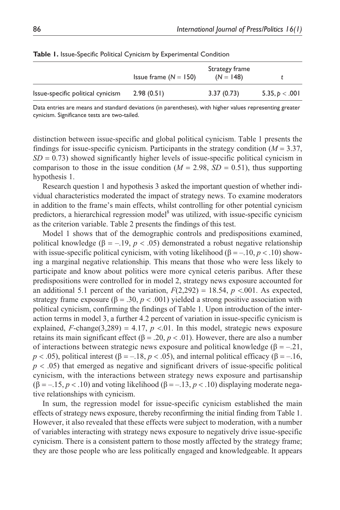|                                   | Issue frame $(N = 150)$ | Strategy frame<br>$(N = 148)$ |                  |
|-----------------------------------|-------------------------|-------------------------------|------------------|
| Issue-specific political cynicism | 2.98(0.51)              | 3.37(0.73)                    | 5.35, $p < .001$ |

### **Table 1.** Issue-Specific Political Cynicism by Experimental Condition

Data entries are means and standard deviations (in parentheses), with higher values representing greater cynicism. Significance tests are two-tailed.

distinction between issue-specific and global political cynicism. Table 1 presents the findings for issue-specific cynicism. Participants in the strategy condition  $(M = 3.37)$ ,  $SD = 0.73$ ) showed significantly higher levels of issue-specific political cynicism in comparison to those in the issue condition ( $M = 2.98$ ,  $SD = 0.51$ ), thus supporting hypothesis 1.

Research question 1 and hypothesis 3 asked the important question of whether individual characteristics moderated the impact of strategy news. To examine moderators in addition to the frame's main effects, whilst controlling for other potential cynicism predictors, a hierarchical regression model<sup>8</sup> was utilized, with issue-specific cynicism as the criterion variable. Table 2 presents the findings of this test.

Model 1 shows that of the demographic controls and predispositions examined, political knowledge (β = -.19,  $p < .05$ ) demonstrated a robust negative relationship with issue-specific political cynicism, with voting likelihood  $(\beta = -10, p < 0.10)$  showing a marginal negative relationship. This means that those who were less likely to participate and know about politics were more cynical ceteris paribus. After these predispositions were controlled for in model 2, strategy news exposure accounted for an additional 5.1 percent of the variation,  $F(2,292) = 18.54$ ,  $p < 0.01$ . As expected, strategy frame exposure ( $\beta = .30, p < .001$ ) yielded a strong positive association with political cynicism, confirming the findings of Table 1. Upon introduction of the interaction terms in model 3, a further 4.2 percent of variation in issue-specific cynicism is explained, *F*-change(3,289) = 4.17,  $p \lt 0.01$ . In this model, strategic news exposure retains its main significant effect ( $β = .20, p < .01$ ). However, there are also a number of interactions between strategic news exposure and political knowledge (β = –.21,  $p < .05$ ), political interest ( $\beta = -.18$ ,  $p < .05$ ), and internal political efficacy ( $\beta = -.16$ , *p* < .05) that emerged as negative and significant drivers of issue-specific political cynicism, with the interactions between strategy news exposure and partisanship  $(\beta = -.15, p < .10)$  and voting likelihood  $(\beta = -.13, p < .10)$  displaying moderate negative relationships with cynicism.

In sum, the regression model for issue-specific cynicism established the main effects of strategy news exposure, thereby reconfirming the initial finding from Table 1. However, it also revealed that these effects were subject to moderation, with a number of variables interacting with strategy news exposure to negatively drive issue-specific cynicism. There is a consistent pattern to those mostly affected by the strategy frame; they are those people who are less politically engaged and knowledgeable. It appears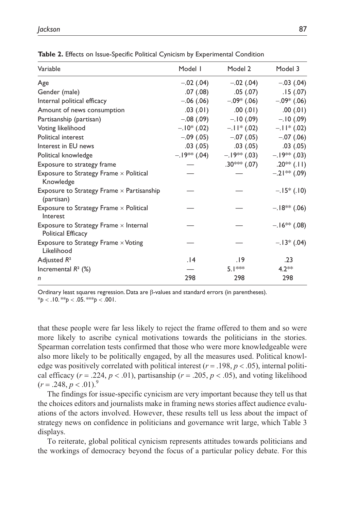| Variable                                                                  | Model I        | Model 2        | Model 3         |
|---------------------------------------------------------------------------|----------------|----------------|-----------------|
| Age                                                                       | $-.02(.04)$    | $-.02(.04)$    | $-.03(.04)$     |
| Gender (male)                                                             | .07(0.08)      | .05 (.07)      | .15(.07)        |
| Internal political efficacy                                               | $-.06(.06)$    | $-.09*$ (.06)  | $-.09*$ (.06)   |
| Amount of news consumption                                                | .03(.01)       | .00(0.01)      | .00(0.01)       |
| Partisanship (partisan)                                                   | $-.08(.09)$    | $-.10(.09)$    | $-.10(.09)$     |
| Voting likelihood                                                         | $-.10*(.02)$   | $-.11*(.02)$   | $-.11*(.02)$    |
| Political interest                                                        | $-.09(.05)$    | $-.07(.05)$    | $-.07(.06)$     |
| Interest in EU news                                                       | .03(0.05)      | .03(0.05)      | .03(.05)        |
| Political knowledge                                                       | $-.19***(.04)$ | $-.19***(.03)$ | $-.19***$ (.03) |
| Exposure to strategy frame                                                |                | $.30*** (.07)$ | $.20^{**}(.11)$ |
| Exposure to Strategy Frame × Political<br>Knowledge                       |                |                | $-.21***$ (.09) |
| Exposure to Strategy Frame $\times$ Partisanship<br>(partisan)            |                |                | $-.15*(.10)$    |
| Exposure to Strategy Frame $\times$ Political<br>Interest                 |                |                | $-.18***$ (.06) |
| Exposure to Strategy Frame $\times$ Internal<br><b>Political Efficacy</b> |                |                | $-.16***$ (.08) |
| Exposure to Strategy Frame × Voting<br>Likelihood                         |                |                | $-.13*(.04)$    |
| Adjusted $R^2$                                                            | .14            | 19.            | .23             |
| Incremental $R^2$ (%)                                                     |                | $5.1***$       | $4.2**$         |
| n                                                                         | 298            | 298            | 298             |
|                                                                           |                |                |                 |

**Table 2.** Effects on Issue-Specific Political Cynicism by Experimental Condition

Ordinary least squares regression. Data are  $\beta$ -values and standard errors (in parentheses).  $*_{p}$  < .10.  $*_{p}$  < .05.  $*_{p}$  < .001.

that these people were far less likely to reject the frame offered to them and so were more likely to ascribe cynical motivations towards the politicians in the stories. Spearman correlation tests confirmed that those who were more knowledgeable were also more likely to be politically engaged, by all the measures used. Political knowledge was positively correlated with political interest  $(r = .198, p < .05)$ , internal political efficacy  $(r = .224, p < .01)$ , partisanship  $(r = .205, p < .05)$ , and voting likelihood  $(r=.248, p < .01).<sup>9</sup>$ 

The findings for issue-specific cynicism are very important because they tell us that the choices editors and journalists make in framing news stories affect audience evaluations of the actors involved. However, these results tell us less about the impact of strategy news on confidence in politicians and governance writ large, which Table 3 displays.

To reiterate, global political cynicism represents attitudes towards politicians and the workings of democracy beyond the focus of a particular policy debate. For this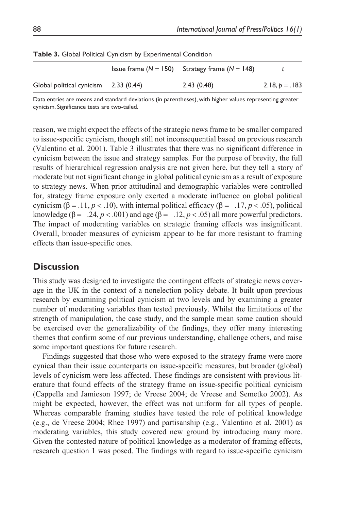|                                       |  | Issue frame $(N = 150)$ Strategy frame $(N = 148)$ |                  |
|---------------------------------------|--|----------------------------------------------------|------------------|
| Global political cynicism 2.33 (0.44) |  | 2.43(0.48)                                         | 2.18, $p = .183$ |

**Table 3.** Global Political Cynicism by Experimental Condition

Data entries are means and standard deviations (in parentheses), with higher values representing greater cynicism. Significance tests are two-tailed.

reason, we might expect the effects of the strategic news frame to be smaller compared to issue-specific cynicism, though still not inconsequential based on previous research (Valentino et al. 2001). Table 3 illustrates that there was no significant difference in cynicism between the issue and strategy samples. For the purpose of brevity, the full results of hierarchical regression analysis are not given here, but they tell a story of moderate but not significant change in global political cynicism as a result of exposure to strategy news. When prior attitudinal and demographic variables were controlled for, strategy frame exposure only exerted a moderate influence on global political cynicism (β = .11, *p* < .10), with internal political efficacy (β = -.17, *p* < .05), political knowledge ( $\beta = -0.24$ ,  $p < 0.001$ ) and age ( $\beta = -0.12$ ,  $p < 0.05$ ) all more powerful predictors. The impact of moderating variables on strategic framing effects was insignificant. Overall, broader measures of cynicism appear to be far more resistant to framing effects than issue-specific ones.

# **Discussion**

This study was designed to investigate the contingent effects of strategic news coverage in the UK in the context of a nonelection policy debate. It built upon previous research by examining political cynicism at two levels and by examining a greater number of moderating variables than tested previously. Whilst the limitations of the strength of manipulation, the case study, and the sample mean some caution should be exercised over the generalizability of the findings, they offer many interesting themes that confirm some of our previous understanding, challenge others, and raise some important questions for future research.

Findings suggested that those who were exposed to the strategy frame were more cynical than their issue counterparts on issue-specific measures, but broader (global) levels of cynicism were less affected. These findings are consistent with previous literature that found effects of the strategy frame on issue-specific political cynicism (Cappella and Jamieson 1997; de Vreese 2004; de Vreese and Semetko 2002). As might be expected, however, the effect was not uniform for all types of people. Whereas comparable framing studies have tested the role of political knowledge (e.g., de Vreese 2004; Rhee 1997) and partisanship (e.g., Valentino et al. 2001) as moderating variables, this study covered new ground by introducing many more. Given the contested nature of political knowledge as a moderator of framing effects, research question 1 was posed. The findings with regard to issue-specific cynicism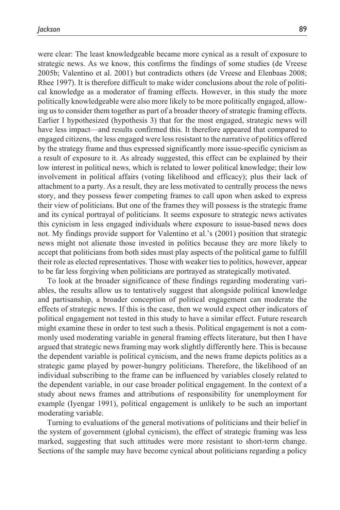were clear: The least knowledgeable became more cynical as a result of exposure to strategic news. As we know, this confirms the findings of some studies (de Vreese 2005b; Valentino et al. 2001) but contradicts others (de Vreese and Elenbaas 2008; Rhee 1997). It is therefore difficult to make wider conclusions about the role of political knowledge as a moderator of framing effects. However, in this study the more politically knowledgeable were also more likely to be more politically engaged, allowing us to consider them together as part of a broader theory of strategic framing effects. Earlier I hypothesized (hypothesis 3) that for the most engaged, strategic news will have less impact—and results confirmed this. It therefore appeared that compared to engaged citizens, the less engaged were less resistant to the narrative of politics offered by the strategy frame and thus expressed significantly more issue-specific cynicism as a result of exposure to it. As already suggested, this effect can be explained by their low interest in political news, which is related to lower political knowledge; their low involvement in political affairs (voting likelihood and efficacy); plus their lack of attachment to a party. As a result, they are less motivated to centrally process the news story, and they possess fewer competing frames to call upon when asked to express their view of politicians. But one of the frames they will possess is the strategic frame and its cynical portrayal of politicians. It seems exposure to strategic news activates this cynicism in less engaged individuals where exposure to issue-based news does not. My findings provide support for Valentino et al.'s (2001) position that strategic news might not alienate those invested in politics because they are more likely to accept that politicians from both sides must play aspects of the political game to fulfill their role as elected representatives. Those with weaker ties to politics, however, appear to be far less forgiving when politicians are portrayed as strategically motivated.

To look at the broader significance of these findings regarding moderating variables, the results allow us to tentatively suggest that alongside political knowledge and partisanship, a broader conception of political engagement can moderate the effects of strategic news. If this is the case, then we would expect other indicators of political engagement not tested in this study to have a similar effect. Future research might examine these in order to test such a thesis. Political engagement is not a commonly used moderating variable in general framing effects literature, but then I have argued that strategic news framing may work slightly differently here. This is because the dependent variable is political cynicism, and the news frame depicts politics as a strategic game played by power-hungry politicians. Therefore, the likelihood of an individual subscribing to the frame can be influenced by variables closely related to the dependent variable, in our case broader political engagement. In the context of a study about news frames and attributions of responsibility for unemployment for example (Iyengar 1991), political engagement is unlikely to be such an important moderating variable.

Turning to evaluations of the general motivations of politicians and their belief in the system of government (global cynicism), the effect of strategic framing was less marked, suggesting that such attitudes were more resistant to short-term change. Sections of the sample may have become cynical about politicians regarding a policy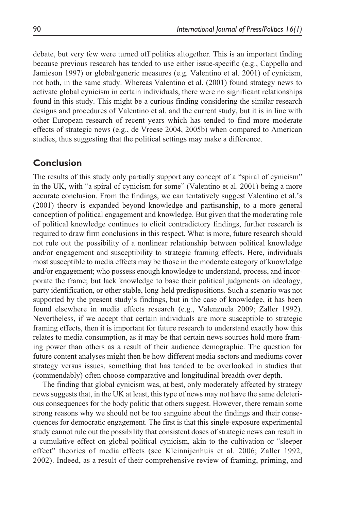debate, but very few were turned off politics altogether. This is an important finding because previous research has tended to use either issue-specific (e.g., Cappella and Jamieson 1997) or global/generic measures (e.g. Valentino et al. 2001) of cynicism, not both, in the same study. Whereas Valentino et al. (2001) found strategy news to activate global cynicism in certain individuals, there were no significant relationships found in this study. This might be a curious finding considering the similar research designs and procedures of Valentino et al. and the current study, but it is in line with other European research of recent years which has tended to find more moderate effects of strategic news (e.g., de Vreese 2004, 2005b) when compared to American studies, thus suggesting that the political settings may make a difference.

# **Conclusion**

The results of this study only partially support any concept of a "spiral of cynicism" in the UK, with "a spiral of cynicism for some" (Valentino et al. 2001) being a more accurate conclusion. From the findings, we can tentatively suggest Valentino et al.'s (2001) theory is expanded beyond knowledge and partisanship, to a more general conception of political engagement and knowledge. But given that the moderating role of political knowledge continues to elicit contradictory findings, further research is required to draw firm conclusions in this respect. What is more, future research should not rule out the possibility of a nonlinear relationship between political knowledge and/or engagement and susceptibility to strategic framing effects. Here, individuals most susceptible to media effects may be those in the moderate category of knowledge and/or engagement; who possess enough knowledge to understand, process, and incorporate the frame; but lack knowledge to base their political judgments on ideology, party identification, or other stable, long-held predispositions. Such a scenario was not supported by the present study's findings, but in the case of knowledge, it has been found elsewhere in media effects research (e.g., Valenzuela 2009; Zaller 1992). Nevertheless, if we accept that certain individuals are more susceptible to strategic framing effects, then it is important for future research to understand exactly how this relates to media consumption, as it may be that certain news sources hold more framing power than others as a result of their audience demographic. The question for future content analyses might then be how different media sectors and mediums cover strategy versus issues, something that has tended to be overlooked in studies that (commendably) often choose comparative and longitudinal breadth over depth.

The finding that global cynicism was, at best, only moderately affected by strategy news suggests that, in the UK at least, this type of news may not have the same deleterious consequences for the body politic that others suggest. However, there remain some strong reasons why we should not be too sanguine about the findings and their consequences for democratic engagement. The first is that this single-exposure experimental study cannot rule out the possibility that consistent doses of strategic news can result in a cumulative effect on global political cynicism, akin to the cultivation or "sleeper effect" theories of media effects (see Kleinnijenhuis et al. 2006; Zaller 1992, 2002). Indeed, as a result of their comprehensive review of framing, priming, and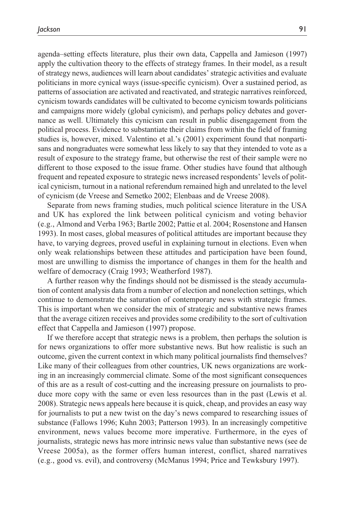agenda–setting effects literature, plus their own data, Cappella and Jamieson (1997) apply the cultivation theory to the effects of strategy frames. In their model, as a result of strategy news, audiences will learn about candidates' strategic activities and evaluate politicians in more cynical ways (issue-specific cynicism). Over a sustained period, as patterns of association are activated and reactivated, and strategic narratives reinforced, cynicism towards candidates will be cultivated to become cynicism towards politicians and campaigns more widely (global cynicism), and perhaps policy debates and governance as well. Ultimately this cynicism can result in public disengagement from the political process. Evidence to substantiate their claims from within the field of framing studies is, however, mixed. Valentino et al.'s (2001) experiment found that nonpartisans and nongraduates were somewhat less likely to say that they intended to vote as a result of exposure to the strategy frame, but otherwise the rest of their sample were no different to those exposed to the issue frame. Other studies have found that although frequent and repeated exposure to strategic news increased respondents' levels of political cynicism, turnout in a national referendum remained high and unrelated to the level of cynicism (de Vreese and Semetko 2002; Elenbaas and de Vreese 2008).

Separate from news framing studies, much political science literature in the USA and UK has explored the link between political cynicism and voting behavior (e.g., Almond and Verba 1963; Bartle 2002; Pattie et al. 2004; Rosenstone and Hansen 1993). In most cases, global measures of political attitudes are important because they have, to varying degrees, proved useful in explaining turnout in elections. Even when only weak relationships between these attitudes and participation have been found, most are unwilling to dismiss the importance of changes in them for the health and welfare of democracy (Craig 1993; Weatherford 1987).

A further reason why the findings should not be dismissed is the steady accumulation of content analysis data from a number of election and nonelection settings, which continue to demonstrate the saturation of contemporary news with strategic frames. This is important when we consider the mix of strategic and substantive news frames that the average citizen receives and provides some credibility to the sort of cultivation effect that Cappella and Jamieson (1997) propose.

If we therefore accept that strategic news is a problem, then perhaps the solution is for news organizations to offer more substantive news. But how realistic is such an outcome, given the current context in which many political journalists find themselves? Like many of their colleagues from other countries, UK news organizations are working in an increasingly commercial climate. Some of the most significant consequences of this are as a result of cost-cutting and the increasing pressure on journalists to produce more copy with the same or even less resources than in the past (Lewis et al. 2008). Strategic news appeals here because it is quick, cheap, and provides an easy way for journalists to put a new twist on the day's news compared to researching issues of substance (Fallows 1996; Kuhn 2003; Patterson 1993). In an increasingly competitive environment, news values become more imperative. Furthermore, in the eyes of journalists, strategic news has more intrinsic news value than substantive news (see de Vreese 2005a), as the former offers human interest, conflict, shared narratives (e.g., good vs. evil), and controversy (McManus 1994; Price and Tewksbury 1997).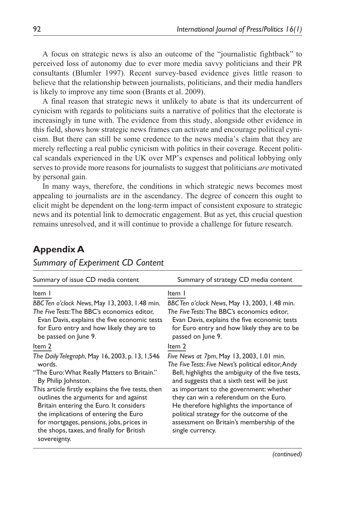A focus on strategic news is also an outcome of the "journalistic fightback" to perceived loss of autonomy due to ever more media savvy politicians and their PR consultants (Blumler 1997). Recent survey-based evidence gives little reason to believe that the relationship between journalists, politicians, and their media handlers is likely to improve any time soon (Brants et al. 2009).

A final reason that strategic news it unlikely to abate is that its undercurrent of cynicism with regards to politicians suits a narrative of politics that the electorate is increasingly in tune with. The evidence from this study, alongside other evidence in this field, shows how strategic news frames can activate and encourage political cynicism. But there can still be some credence to the news media's claim that they are merely reflecting a real public cynicism with politics in their coverage. Recent political scandals experienced in the UK over MP's expenses and political lobbying only serves to provide more reasons for journalists to suggest that politicians *are* motivated by personal gain.

In many ways, therefore, the conditions in which strategic news becomes most appealing to journalists are in the ascendancy. The degree of concern this ought to elicit might be dependent on the long-term impact of consistent exposure to strategic news and its potential link to democratic engagement. But as yet, this crucial question remains unresolved, and it will continue to provide a challenge for future research.

| Summary of issue CD media content                                                                                                                                                                                                                                                                                                                                                                                            | Summary of strategy CD media content                                                                                                                                                                                                                                                                                                                                                                                                                |
|------------------------------------------------------------------------------------------------------------------------------------------------------------------------------------------------------------------------------------------------------------------------------------------------------------------------------------------------------------------------------------------------------------------------------|-----------------------------------------------------------------------------------------------------------------------------------------------------------------------------------------------------------------------------------------------------------------------------------------------------------------------------------------------------------------------------------------------------------------------------------------------------|
| Item I                                                                                                                                                                                                                                                                                                                                                                                                                       | Item I                                                                                                                                                                                                                                                                                                                                                                                                                                              |
| BBC Ten o'clock News, May 13, 2003, 1.48 min.<br>The Five Tests: The BBC's economics editor,<br>Evan Davis, explains the five economic tests<br>for Euro entry and how likely they are to<br>be passed on June 9.                                                                                                                                                                                                            | BBC Ten o'clock News, May 13, 2003, 1.48 min.<br>The Five Tests: The BBC's economics editor,<br>Evan Davis, explains the five economic tests<br>for Euro entry and how likely they are to be<br>passed on June 9.                                                                                                                                                                                                                                   |
| Item 2                                                                                                                                                                                                                                                                                                                                                                                                                       | Item 2                                                                                                                                                                                                                                                                                                                                                                                                                                              |
| The Daily Telegraph, May 16, 2003, p. 13, 1,546<br>words.<br>"The Euro: What Really Matters to Britain."<br>By Philip Johnston.<br>This article firstly explains the five tests, then<br>outlines the arguments for and against<br>Britain entering the Euro. It considers<br>the implications of entering the Euro<br>for mortgages, pensions, jobs, prices in<br>the shops, taxes, and finally for British<br>sovereignty. | Five News at 7pm, May 13, 2003, 1.01 min.<br>The Five Tests: Five News's political editor, Andy<br>Bell, highlights the ambiguity of the five tests,<br>and suggests that a sixth test will be just<br>as important to the government: whether<br>they can win a referendum on the Euro.<br>He therefore highlights the importance of<br>political strategy for the outcome of the<br>assessment on Britain's membership of the<br>single currency. |

# **Appendix A** *Summary of Experiment CD Content*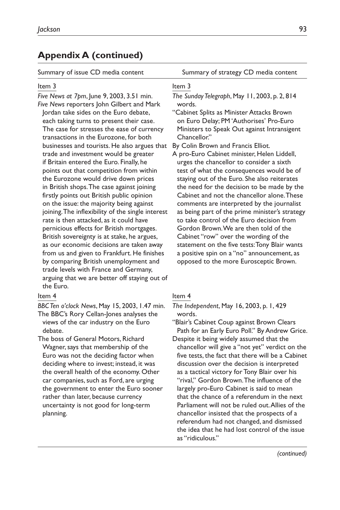# **Appendix A (continued)**

### Item 3

*Five News at 7pm*, June 9, 2003, 3.51 min. *Five News* reporters John Gilbert and Mark Jordan take sides on the Euro debate, each taking turns to present their case. The case for stresses the ease of currency transactions in the Eurozone, for both businesses and tourists. He also argues that trade and investment would be greater if Britain entered the Euro. Finally, he points out that competition from within the Eurozone would drive down prices in British shops. The case against joining firstly points out British public opinion on the issue: the majority being against joining. The inflexibility of the single interest rate is then attacked, as it could have pernicious effects for British mortgages. British sovereignty is at stake, he argues, as our economic decisions are taken away from us and given to Frankfurt. He finishes by comparing British unemployment and trade levels with France and Germany, arguing that we are better off staying out of the Euro.

# Item 4

*BBC Ten o'clock News*, May 15, 2003, 1.47 min.

- The BBC's Rory Cellan-Jones analyses the views of the car industry on the Euro debate.
- The boss of General Motors, Richard Wagner, says that membership of the Euro was not the deciding factor when deciding where to invest; instead, it was the overall health of the economy. Other car companies, such as Ford, are urging the government to enter the Euro sooner rather than later, because currency uncertainty is not good for long-term planning.

Summary of issue CD media content Summary of strategy CD media content

### Item 3

*The Sunday Telegraph*, May 11, 2003, p. 2, 814 words.

"Cabinet Splits as Minister Attacks Brown on Euro Delay; PM 'Authorises' Pro-Euro Ministers to Speak Out against Intransigent Chancellor."

By Colin Brown and Francis Elliot.

A pro-Euro Cabinet minister, Helen Liddell, urges the chancellor to consider a sixth test of what the consequences would be of staying out of the Euro. She also reiterates the need for the decision to be made by the Cabinet and not the chancellor alone. These comments are interpreted by the journalist as being part of the prime minister's strategy to take control of the Euro decision from Gordon Brown. We are then told of the Cabinet "row" over the wording of the statement on the five tests: Tony Blair wants a positive spin on a "no" announcement, as opposed to the more Eurosceptic Brown.

### Item 4

- *The Independent*, May 16, 2003, p. 1, 429 words.
- "Blair's Cabinet Coup against Brown Clears Path for an Early Euro Poll." By Andrew Grice.
- Despite it being widely assumed that the chancellor will give a "not yet" verdict on the five tests, the fact that there will be a Cabinet discussion over the decision is interpreted as a tactical victory for Tony Blair over his "rival," Gordon Brown. The influence of the largely pro-Euro Cabinet is said to mean that the chance of a referendum in the next Parliament will not be ruled out. Allies of the chancellor insisted that the prospects of a referendum had not changed, and dismissed the idea that he had lost control of the issue as "ridiculous."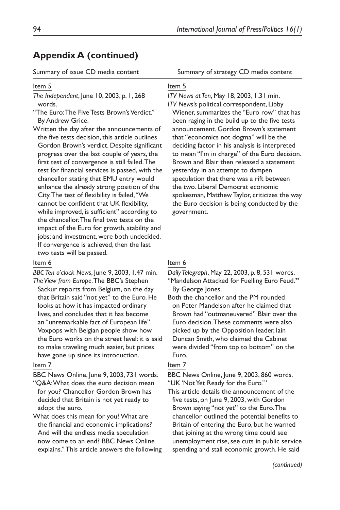# **Appendix A (continued)**

### Item 5

- *The Independent*, June 10, 2003, p. 1, 268 words.
- "The Euro: The Five Tests Brown's Verdict." By Andrew Grice.
- Written the day after the announcements of the five tests decision, this article outlines Gordon Brown's verdict. Despite significant progress over the last couple of years, the first test of convergence is still failed. The test for financial services is passed, with the chancellor stating that EMU entry would enhance the already strong position of the City. The test of flexibility is failed, "We cannot be confident that UK flexibility, while improved, is sufficient" according to the chancellor. The final two tests on the impact of the Euro for growth, stability and jobs; and investment, were both undecided. If convergence is achieved, then the last two tests will be passed.

### Item 6

*BBC Ten o'clock News*, June 9, 2003, 1.47 min. *The View from Europe*. The BBC's Stephen Sackur reports from Belgium, on the day that Britain said "not yet" to the Euro. He looks at how it has impacted ordinary lives, and concludes that it has become an "unremarkable fact of European life". Voxpops with Belgian people show how the Euro works on the street level: it is said to make traveling much easier, but prices have gone up since its introduction.

### Item 7

- BBC News Online, June 9, 2003, 731 words. "Q&A: What does the euro decision mean for you? Chancellor Gordon Brown has decided that Britain is not yet ready to
- adopt the euro. What does this mean for you? What are the financial and economic implications? And will the endless media speculation now come to an end? BBC News Online explains." This article answers the following

Summary of issue CD media content Summary of strategy CD media content

### Item 5

*ITV News at Ten*, May 18, 2003, 1.31 min. *ITV News*'s political correspondent, Libby Wiener, summarizes the "Euro row" that has been raging in the build up to the five tests announcement. Gordon Brown's statement that "economics not dogma" will be the deciding factor in his analysis is interpreted to mean "I'm in charge" of the Euro decision. Brown and Blair then released a statement yesterday in an attempt to dampen speculation that there was a rift between the two. Liberal Democrat economic spokesman, Matthew Taylor, criticizes the way the Euro decision is being conducted by the government.

### Item 6

*Daily Telegraph*, May 22, 2003, p. 8, 531 words.

"Mandelson Attacked for Fuelling Euro Feud.**"** By George Jones.

Both the chancellor and the PM rounded on Peter Mandelson after he claimed that Brown had "outmaneuvered" Blair over the Euro decision. These comments were also picked up by the Opposition leader, Iain Duncan Smith, who claimed the Cabinet were divided "from top to bottom" on the Euro.

### Item 7

BBC News Online, June 9, 2003, 860 words. "UK 'Not Yet Ready for the Euro.'"

This article details the announcement of the five tests, on June 9, 2003, with Gordon Brown saying "not yet" to the Euro. The chancellor outlined the potential benefits to Britain of entering the Euro, but he warned that joining at the wrong time could see unemployment rise, see cuts in public service spending and stall economic growth. He said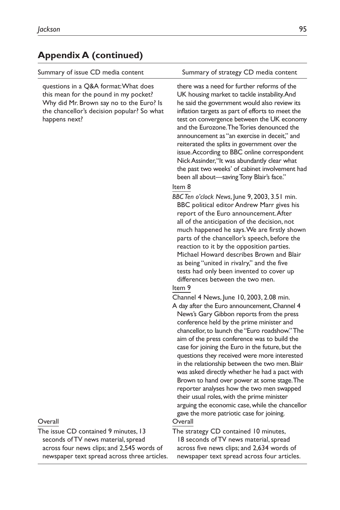# **Appendix A (continued)**

questions in a Q&A format: What does this mean for the pound in my pocket? Why did Mr. Brown say no to the Euro? Is the chancellor's decision popular? So what happens next?

### Summary of issue CD media content Summary of strategy CD media content

there was a need for further reforms of the UK housing market to tackle instability. And he said the government would also review its inflation targets as part of efforts to meet the test on convergence between the UK economy and the Eurozone. The Tories denounced the announcement as "an exercise in deceit," and reiterated the splits in government over the issue. According to BBC online correspondent Nick Assinder, "It was abundantly clear what the past two weeks' of cabinet involvement had been all about—saving Tony Blair's face."

### Item 8

*BBC Ten o'clock News*, June 9, 2003, 3.51 min. BBC political editor Andrew Marr gives his report of the Euro announcement. After all of the anticipation of the decision, not much happened he says. We are firstly shown parts of the chancellor's speech, before the reaction to it by the opposition parties. Michael Howard describes Brown and Blair as being "united in rivalry," and the five tests had only been invented to cover up differences between the two men.

### Item 9

Channel 4 News, June 10, 2003, 2.08 min.

A day after the Euro announcement, Channel 4 News's Gary Gibbon reports from the press conference held by the prime minister and chancellor, to launch the "Euro roadshow." The aim of the press conference was to build the case for joining the Euro in the future, but the questions they received were more interested in the relationship between the two men. Blair was asked directly whether he had a pact with Brown to hand over power at some stage. The reporter analyses how the two men swapped their usual roles, with the prime minister arguing the economic case, while the chancellor gave the more patriotic case for joining. **Overall** 

The strategy CD contained 10 minutes, 18 seconds of TV news material, spread across five news clips; and 2,634 words of newspaper text spread across four articles.

# **Overall**

The issue CD contained 9 minutes, 13 seconds of TV news material, spread across four news clips; and 2,545 words of newspaper text spread across three articles.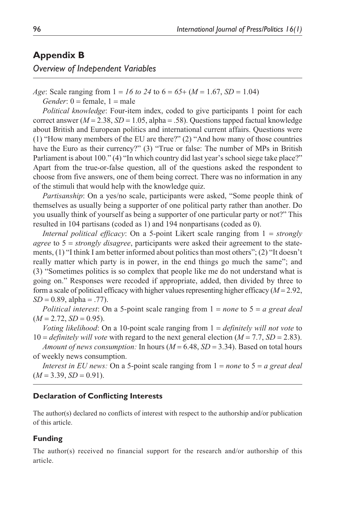# **Appendix B**

*Overview of Independent Variables*

*Age*: Scale ranging from 1 = *16 to 24* to 6 = *65*+ (*M* = 1.67, *SD* = 1.04)

*Gender*: 0 = female, 1 = male

*Political knowledge*: Four-item index, coded to give participants 1 point for each correct answer ( $M = 2.38$ ,  $SD = 1.05$ , alpha = .58). Questions tapped factual knowledge about British and European politics and international current affairs. Questions were (1) "How many members of the EU are there?" (2) "And how many of those countries have the Euro as their currency?" (3) "True or false: The number of MPs in British Parliament is about 100." (4) "In which country did last year's school siege take place?" Apart from the true-or-false question, all of the questions asked the respondent to choose from five answers, one of them being correct. There was no information in any of the stimuli that would help with the knowledge quiz.

*Partisanship*: On a yes/no scale, participants were asked, "Some people think of themselves as usually being a supporter of one political party rather than another. Do you usually think of yourself as being a supporter of one particular party or not?" This resulted in 104 partisans (coded as 1) and 194 nonpartisans (coded as 0).

*Internal political efficacy*: On a 5-point Likert scale ranging from 1 = *strongly agree* to 5 = *strongly disagree*, participants were asked their agreement to the statements, (1) "I think I am better informed about politics than most others"; (2) "It doesn't really matter which party is in power, in the end things go much the same"; and (3) "Sometimes politics is so complex that people like me do not understand what is going on." Responses were recoded if appropriate, added, then divided by three to form a scale of political efficacy with higher values representing higher efficacy (*M* = 2.92,  $SD = 0.89$ , alpha = .77).

*Political interest*: On a 5-point scale ranging from 1 = *none* to 5 = *a great deal*  $(M = 2.72, SD = 0.95).$ 

*Voting likelihood*: On a 10-point scale ranging from 1 = *definitely will not vote* to  $10 = \text{definitely will vote with regard to the next general election (*M* = 7.7, SD = 2.83).$ 

*Amount of news consumption:* In hours  $(M = 6.48, SD = 3.34)$ . Based on total hours of weekly news consumption.

*Interest in EU news:* On a 5-point scale ranging from  $1 = none$  to  $5 = a$  great deal  $(M = 3.39, SD = 0.91)$ .

### **Declaration of Conflicting Interests**

The author(s) declared no conflicts of interest with respect to the authorship and/or publication of this article.

### **Funding**

The author(s) received no financial support for the research and/or authorship of this article.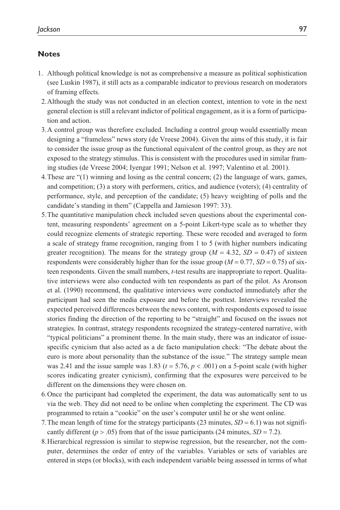## **Notes**

- 1. Although political knowledge is not as comprehensive a measure as political sophistication (see Luskin 1987), it still acts as a comparable indicator to previous research on moderators of framing effects.
- 2.Although the study was not conducted in an election context, intention to vote in the next general election is still a relevant indictor of political engagement, as it is a form of participation and action.
- 3.A control group was therefore excluded. Including a control group would essentially mean designing a "frameless" news story (de Vreese 2004). Given the aims of this study, it is fair to consider the issue group as the functional equivalent of the control group, as they are not exposed to the strategy stimulus. This is consistent with the procedures used in similar framing studies (de Vreese 2004; Iyengar 1991; Nelson et al. 1997; Valentino et al. 2001).
- 4.These are "(1) winning and losing as the central concern; (2) the language of wars, games, and competition; (3) a story with performers, critics, and audience (voters); (4) centrality of performance, style, and perception of the candidate; (5) heavy weighting of polls and the candidate's standing in them" (Cappella and Jamieson 1997: 33).
- 5.The quantitative manipulation check included seven questions about the experimental content, measuring respondents' agreement on a 5-point Likert-type scale as to whether they could recognize elements of strategic reporting. These were recoded and averaged to form a scale of strategy frame recognition, ranging from 1 to 5 (with higher numbers indicating greater recognition). The means for the strategy group ( $M = 4.32$ ,  $SD = 0.47$ ) of sixteen respondents were considerably higher than for the issue group ( $M = 0.77$ ,  $SD = 0.75$ ) of sixteen respondents. Given the small numbers, *t*-test results are inappropriate to report. Qualitative interviews were also conducted with ten respondents as part of the pilot. As Aronson et al. (1990) recommend, the qualitative interviews were conducted immediately after the participant had seen the media exposure and before the posttest. Interviews revealed the expected perceived differences between the news content, with respondents exposed to issue stories finding the direction of the reporting to be "straight" and focused on the issues not strategies. In contrast, strategy respondents recognized the strategy-centered narrative, with "typical politicians" a prominent theme. In the main study, there was an indicator of issuespecific cynicism that also acted as a de facto manipulation check: "The debate about the euro is more about personality than the substance of the issue." The strategy sample mean was 2.41 and the issue sample was 1.83 ( $t = 5.76$ ,  $p < .001$ ) on a 5-point scale (with higher scores indicating greater cynicism), confirming that the exposures were perceived to be different on the dimensions they were chosen on.
- 6.Once the participant had completed the experiment, the data was automatically sent to us via the web. They did not need to be online when completing the experiment. The CD was programmed to retain a "cookie" on the user's computer until he or she went online.
- 7. The mean length of time for the strategy participants  $(23 \text{ minutes}, SD = 6.1)$  was not significantly different ( $p > .05$ ) from that of the issue participants (24 minutes,  $SD = 7.2$ ).
- 8.Hierarchical regression is similar to stepwise regression, but the researcher, not the computer, determines the order of entry of the variables. Variables or sets of variables are entered in steps (or blocks), with each independent variable being assessed in terms of what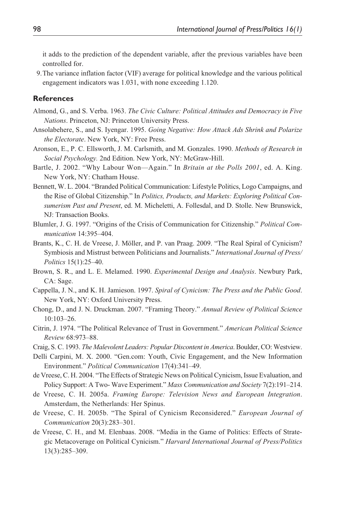it adds to the prediction of the dependent variable, after the previous variables have been controlled for.

9.The variance inflation factor (VIF) average for political knowledge and the various political engagement indicators was 1.031, with none exceeding 1.120.

### **References**

- Almond, G., and S. Verba. 1963. *The Civic Culture: Political Attitudes and Democracy in Five Nations*. Princeton, NJ: Princeton University Press.
- Ansolabehere, S., and S. Iyengar. 1995. *Going Negative: How Attack Ads Shrink and Polarize the Electorate*. New York, NY: Free Press.
- Aronson, E., P. C. Ellsworth, J. M. Carlsmith, and M. Gonzales. 1990. *Methods of Research in Social Psychology.* 2nd Edition. New York, NY: McGraw-Hill.
- Bartle, J. 2002. "Why Labour Won—Again." In *Britain at the Polls 2001*, ed. A. King. New York, NY: Chatham House.
- Bennett, W. L. 2004. "Branded Political Communication: Lifestyle Politics, Logo Campaigns, and the Rise of Global Citizenship." In *Politics, Products, and Markets: Exploring Political Consumerism Past and Present*, ed. M. Micheletti, A. Follesdal, and D. Stolle. New Brunswick, NJ: Transaction Books.
- Blumler, J. G. 1997. "Origins of the Crisis of Communication for Citizenship." *Political Communication* 14:395–404.
- Brants, K., C. H. de Vreese, J. Möller, and P. van Praag. 2009. "The Real Spiral of Cynicism? Symbiosis and Mistrust between Politicians and Journalists." *International Journal of Press/ Politics* 15(1):25–40.
- Brown, S. R., and L. E. Melamed. 1990. *Experimental Design and Analysis*. Newbury Park, CA: Sage.
- Cappella, J. N., and K. H. Jamieson. 1997. *Spiral of Cynicism: The Press and the Public Good*. New York, NY: Oxford University Press.
- Chong, D., and J. N. Druckman. 2007. "Framing Theory." *Annual Review of Political Science* 10:103–26.
- Citrin, J. 1974. "The Political Relevance of Trust in Government." *American Political Science Review* 68:973–88.
- Craig, S. C. 1993. *The Malevolent Leaders: Popular Discontent in America*. Boulder, CO: Westview.
- Delli Carpini, M. X. 2000. "Gen.com: Youth, Civic Engagement, and the New Information Environment." *Political Communication* 17(4):341–49.
- de Vreese, C. H. 2004. "The Effects of Strategic News on Political Cynicism, Issue Evaluation, and Policy Support: A Two- Wave Experiment." *Mass Communication and Society* 7(2):191–214.
- de Vreese, C. H. 2005a. *Framing Europe: Television News and European Integration*. Amsterdam, the Netherlands: Her Spinus.
- de Vreese, C. H. 2005b. "The Spiral of Cynicism Reconsidered." *European Journal of Communication* 20(3):283–301.
- de Vreese, C. H., and M. Elenbaas. 2008. "Media in the Game of Politics: Effects of Strategic Metacoverage on Political Cynicism." *Harvard International Journal of Press/Politics* 13(3):285–309.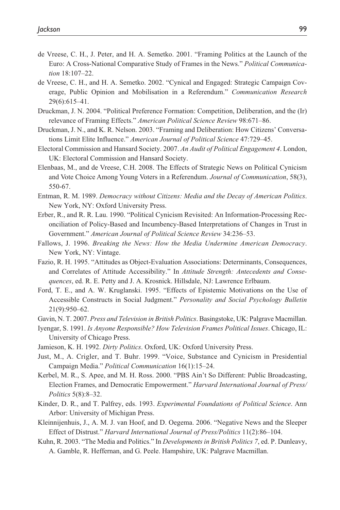- de Vreese, C. H., J. Peter, and H. A. Semetko. 2001. "Framing Politics at the Launch of the Euro: A Cross-National Comparative Study of Frames in the News." *Political Communication* 18:107–22.
- de Vreese, C. H., and H. A. Semetko. 2002. "Cynical and Engaged: Strategic Campaign Coverage, Public Opinion and Mobilisation in a Referendum." *Communication Research* 29(6):615–41.
- Druckman, J. N. 2004. "Political Preference Formation: Competition, Deliberation, and the (Ir) relevance of Framing Effects." *American Political Science Review* 98:671–86.
- Druckman, J. N., and K. R. Nelson. 2003. "Framing and Deliberation: How Citizens' Conversations Limit Elite Influence." *American Journal of Political Science* 47:729–45.
- Electoral Commission and Hansard Society. 2007. *An Audit of Political Engagement 4*. London, UK: Electoral Commission and Hansard Society.
- Elenbaas, M., and de Vreese, C.H. 2008. The Effects of Strategic News on Political Cynicism and Vote Choice Among Young Voters in a Referendum. *Journal of Communication*, 58(3), 550-67.
- Entman, R. M. 1989. *Democracy without Citizens: Media and the Decay of American Politics*. New York, NY: Oxford University Press.
- Erber, R., and R. R. Lau. 1990. "Political Cynicism Revisited: An Information-Processing Reconciliation of Policy-Based and Incumbency-Based Interpretations of Changes in Trust in Government." *American Journal of Political Science Review* 34:236–53.
- Fallows, J. 1996. *Breaking the News: How the Media Undermine American Democracy*. New York, NY: Vintage.
- Fazio, R. H. 1995. "Attitudes as Object-Evaluation Associations: Determinants, Consequences, and Correlates of Attitude Accessibility." In *Attitude Strength: Antecedents and Consequences*, ed. R. E. Petty and J. A. Krosnick. Hillsdale, NJ: Lawrence Erlbaum.
- Ford, T. E., and A. W. Kruglanski. 1995. "Effects of Epistemic Motivations on the Use of Accessible Constructs in Social Judgment." *Personality and Social Psychology Bulletin* 21(9):950–62.
- Gavin, N. T. 2007. *Press and Television in British Politics*. Basingstoke, UK: Palgrave Macmillan.
- Iyengar, S. 1991. *Is Anyone Responsible? How Television Frames Political Issues*. Chicago, IL: University of Chicago Press.
- Jamieson, K. H. 1992. *Dirty Politics*. Oxford, UK: Oxford University Press.
- Just, M., A. Crigler, and T. Buhr. 1999. "Voice, Substance and Cynicism in Presidential Campaign Media." *Political Communication* 16(1):15–24.
- Kerbel, M. R., S. Apee, and M. H. Ross. 2000. "PBS Ain't So Different: Public Broadcasting, Election Frames, and Democratic Empowerment." *Harvard International Journal of Press/ Politics* 5(8):8–32.
- Kinder, D. R., and T. Palfrey, eds. 1993. *Experimental Foundations of Political Science*. Ann Arbor: University of Michigan Press.
- Kleinnijenhuis, J., A. M. J. van Hoof, and D. Oegema. 2006. "Negative News and the Sleeper Effect of Distrust." *Harvard International Journal of Press/Politics* 11(2):86–104.
- Kuhn, R. 2003. "The Media and Politics." In *Developments in British Politics 7*, ed. P. Dunleavy, A. Gamble, R. Heffernan, and G. Peele. Hampshire, UK: Palgrave Macmillan.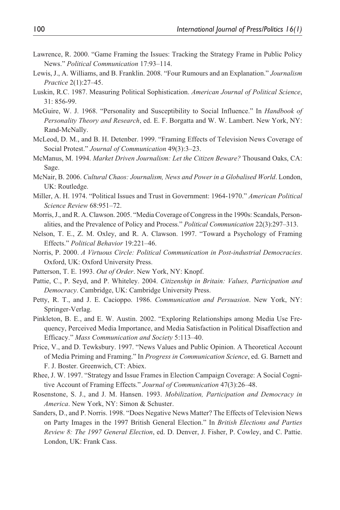- Lawrence, R. 2000. "Game Framing the Issues: Tracking the Strategy Frame in Public Policy News." *Political Communication* 17:93–114.
- Lewis, J., A. Williams, and B. Franklin. 2008. "Four Rumours and an Explanation." *Journalism Practice* 2(1):27–45.
- Luskin, R.C. 1987. Measuring Political Sophistication. *American Journal of Political Science*, 31: 856-99.
- McGuire, W. J. 1968. "Personality and Susceptibility to Social Influence." In *Handbook of Personality Theory and Research*, ed. E. F. Borgatta and W. W. Lambert. New York, NY: Rand-McNally.
- McLeod, D. M., and B. H. Detenber. 1999. "Framing Effects of Television News Coverage of Social Protest." *Journal of Communication* 49(3):3–23.
- McManus, M. 1994. *Market Driven Journalism: Let the Citizen Beware?* Thousand Oaks, CA: Sage.
- McNair, B. 2006. *Cultural Chaos: Journalism, News and Power in a Globalised World*. London, UK: Routledge.
- Miller, A. H. 1974. "Political Issues and Trust in Government: 1964-1970." *American Political Science Review* 68:951–72.
- Morris, J., and R. A. Clawson. 2005. "Media Coverage of Congress in the 1990s: Scandals, Personalities, and the Prevalence of Policy and Process." *Political Communication* 22(3):297–313.
- Nelson, T. E., Z. M. Oxley, and R. A. Clawson. 1997. "Toward a Psychology of Framing Effects." *Political Behavior* 19:221–46.
- Norris, P. 2000. *A Virtuous Circle: Political Communication in Post-industrial Democracies*. Oxford, UK: Oxford University Press.
- Patterson, T. E. 1993. *Out of Order*. New York, NY: Knopf.
- Pattie, C., P. Seyd, and P. Whiteley. 2004. *Citizenship in Britain: Values, Participation and Democracy*. Cambridge, UK: Cambridge University Press.
- Petty, R. T., and J. E. Cacioppo. 1986. *Communication and Persuasion*. New York, NY: Springer-Verlag.
- Pinkleton, B. E., and E. W. Austin. 2002. "Exploring Relationships among Media Use Frequency, Perceived Media Importance, and Media Satisfaction in Political Disaffection and Efficacy." *Mass Communication and Society* 5:113–40.
- Price, V., and D. Tewksbury. 1997. "News Values and Public Opinion. A Theoretical Account of Media Priming and Framing." In *Progress in Communication Science*, ed. G. Barnett and F. J. Boster. Greenwich, CT: Abiex.
- Rhee, J. W. 1997. "Strategy and Issue Frames in Election Campaign Coverage: A Social Cognitive Account of Framing Effects." *Journal of Communication* 47(3):26–48.
- Rosenstone, S. J., and J. M. Hansen. 1993. *Mobilization, Participation and Democracy in America*. New York, NY: Simon & Schuster.
- Sanders, D., and P. Norris. 1998. "Does Negative News Matter? The Effects of Television News on Party Images in the 1997 British General Election." In *British Elections and Parties Review 8: The 1997 General Election*, ed. D. Denver, J. Fisher, P. Cowley, and C. Pattie. London, UK: Frank Cass.